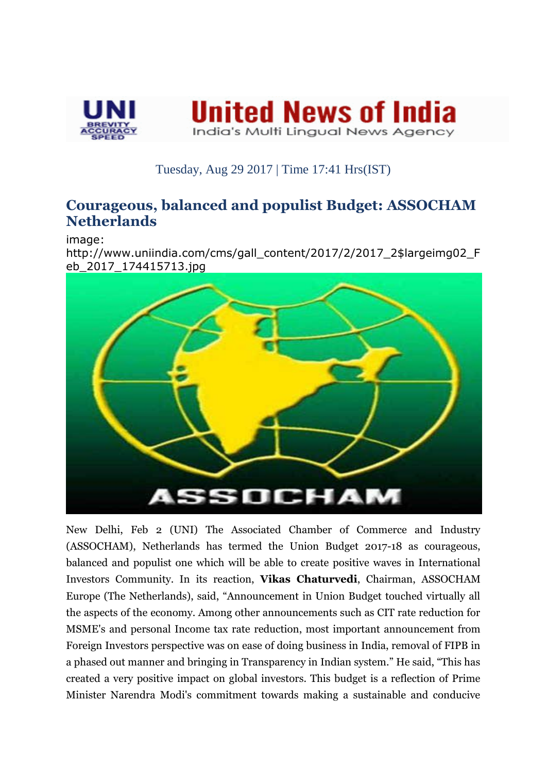



## Tuesday, Aug 29 2017 | Time 17:41 Hrs(IST)

## **Courageous, balanced and populist Budget: ASSOCHAM Netherlands**

image:

http://www.uniindia.com/cms/gall\_content/2017/2/2017\_2\$largeimg02\_F eb\_2017\_174415713.jpg



New Delhi, Feb 2 (UNI) The Associated Chamber of Commerce and Industry (ASSOCHAM), Netherlands has termed the Union Budget 2017-18 as courageous, balanced and populist one which will be able to create positive waves in International Investors Community. In its reaction, **Vikas Chaturvedi**, Chairman, ASSOCHAM Europe (The Netherlands), said, "Announcement in Union Budget touched virtually all the aspects of the economy. Among other announcements such as CIT rate reduction for MSME's and personal Income tax rate reduction, most important announcement from Foreign Investors perspective was on ease of doing business in India, removal of FIPB in a phased out manner and bringing in Transparency in Indian system." He said, "This has created a very positive impact on global investors. This budget is a reflection of Prime Minister Narendra Modi's commitment towards making a sustainable and conducive